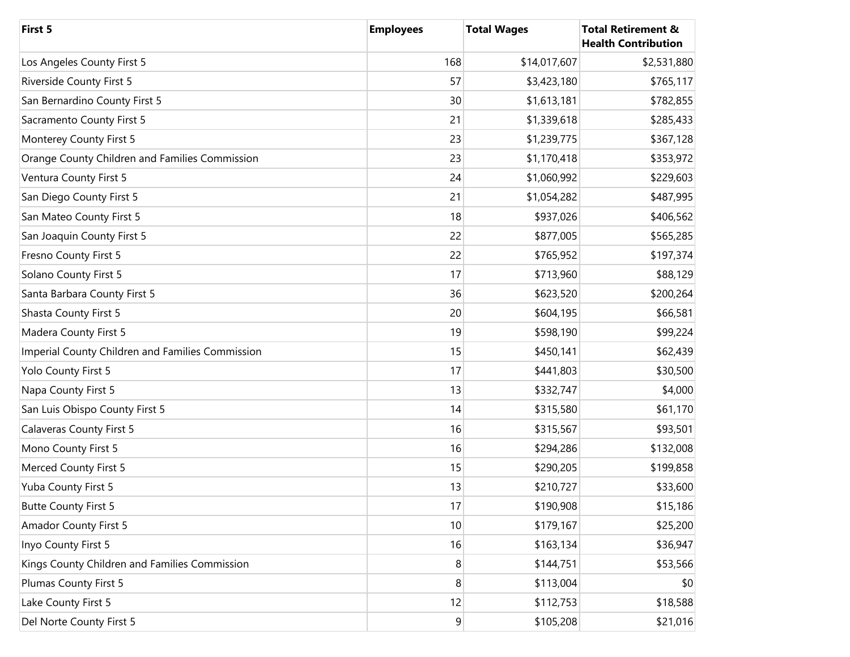| First 5                                          | <b>Employees</b> | <b>Total Wages</b> | <b>Total Retirement &amp;</b><br><b>Health Contribution</b> |
|--------------------------------------------------|------------------|--------------------|-------------------------------------------------------------|
| Los Angeles County First 5                       | 168              | \$14,017,607       | \$2,531,880                                                 |
| <b>Riverside County First 5</b>                  | 57               | \$3,423,180        | \$765,117                                                   |
| San Bernardino County First 5                    | 30               | \$1,613,181        | \$782,855                                                   |
| Sacramento County First 5                        | 21               | \$1,339,618        | \$285,433                                                   |
| Monterey County First 5                          | 23               | \$1,239,775        | \$367,128                                                   |
| Orange County Children and Families Commission   | 23               | \$1,170,418        | \$353,972                                                   |
| Ventura County First 5                           | 24               | \$1,060,992        | \$229,603                                                   |
| San Diego County First 5                         | 21               | \$1,054,282        | \$487,995                                                   |
| San Mateo County First 5                         | 18               | \$937,026          | \$406,562                                                   |
| San Joaquin County First 5                       | 22               | \$877,005          | \$565,285                                                   |
| Fresno County First 5                            | 22               | \$765,952          | \$197,374                                                   |
| Solano County First 5                            | 17               | \$713,960          | \$88,129                                                    |
| Santa Barbara County First 5                     | 36               | \$623,520          | \$200,264                                                   |
| Shasta County First 5                            | 20               | \$604,195          | \$66,581                                                    |
| Madera County First 5                            | 19               | \$598,190          | \$99,224                                                    |
| Imperial County Children and Families Commission | 15               | \$450,141          | \$62,439                                                    |
| Yolo County First 5                              | 17               | \$441,803          | \$30,500                                                    |
| Napa County First 5                              | 13               | \$332,747          | \$4,000                                                     |
| San Luis Obispo County First 5                   | 14               | \$315,580          | \$61,170                                                    |
| <b>Calaveras County First 5</b>                  | 16               | \$315,567          | \$93,501                                                    |
| Mono County First 5                              | 16               | \$294,286          | \$132,008                                                   |
| Merced County First 5                            | 15               | \$290,205          | \$199,858                                                   |
| Yuba County First 5                              | 13               | \$210,727          | \$33,600                                                    |
| <b>Butte County First 5</b>                      | 17               | \$190,908          | \$15,186                                                    |
| <b>Amador County First 5</b>                     | 10               | \$179,167          | \$25,200                                                    |
| Inyo County First 5                              | 16               | \$163,134          | \$36,947                                                    |
| Kings County Children and Families Commission    | 8                | \$144,751          | \$53,566                                                    |
| Plumas County First 5                            | 8                | \$113,004          | \$0                                                         |
| Lake County First 5                              | 12               | \$112,753          | \$18,588                                                    |
| Del Norte County First 5                         | 9                | \$105,208          | \$21,016                                                    |